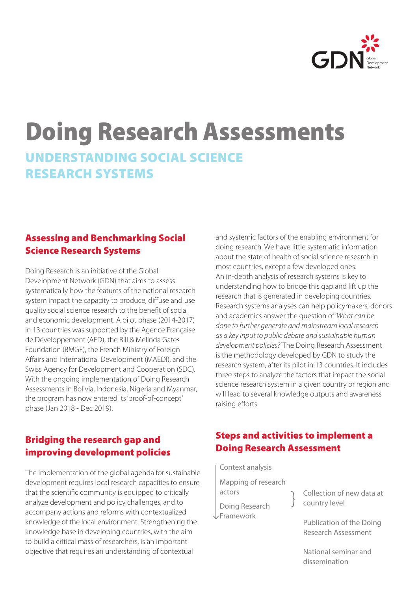

# Doing Research Assessments UNDERSTANDING SOCIAL SCIENCE RESEARCH SYSTEMS

## Assessing and Benchmarking Social Science Research Systems

Doing Research is an initiative of the Global Development Network (GDN) that aims to assess systematically how the features of the national research system impact the capacity to produce, diffuse and use quality social science research to the benefit of social and economic development. A pilot phase (2014-2017) in 13 countries was supported by the Agence Française de Développement (AFD), the Bill & Melinda Gates Foundation (BMGF), the French Ministry of Foreign Affairs and International Development (MAEDI), and the Swiss Agency for Development and Cooperation (SDC). With the ongoing implementation of Doing Research Assessments in Bolivia, Indonesia, Nigeria and Myanmar, the program has now entered its 'proof-of-concept' phase (Jan 2018 - Dec 2019).

## Bridging the research gap and improving development policies

The implementation of the global agenda for sustainable development requires local research capacities to ensure that the scientific community is equipped to critically analyze development and policy challenges, and to accompany actions and reforms with contextualized knowledge of the local environment. Strengthening the knowledge base in developing countries, with the aim to build a critical mass of researchers, is an important objective that requires an understanding of contextual

and systemic factors of the enabling environment for doing research. We have little systematic information about the state of health of social science research in most countries, except a few developed ones. An in-depth analysis of research systems is key to understanding how to bridge this gap and lift up the research that is generated in developing countries. Research systems analyses can help policymakers, donors and academics answer the question of '*What can be done to further generate and mainstream local research as a key input to public debate and sustainable human development policies?'* The Doing Research Assessment is the methodology developed by GDN to study the research system, after its pilot in 13 countries. It includes three steps to analyze the factors that impact the social science research system in a given country or region and will lead to several knowledge outputs and awareness raising efforts.

## Steps and activities to implement a Doing Research Assessment

Context analysis Mapping of research actors Doing Research Framework

Collection of new data at country level

Publication of the Doing Research Assessment

National seminar and dissemination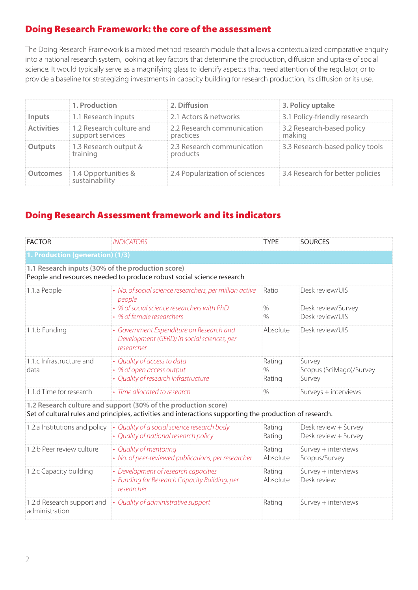## Doing Research Framework: the core of the assessment

The Doing Research Framework is a mixed method research module that allows a contextualized comparative enquiry into a national research system, looking at key factors that determine the production, diffusion and uptake of social science. It would typically serve as a magnifying glass to identify aspects that need attention of the regulator, or to provide a baseline for strategizing investments in capacity building for research production, its diffusion or its use.

|                   | 1. Production                                | 2. Diffusion                            | 3. Policy uptake                    |
|-------------------|----------------------------------------------|-----------------------------------------|-------------------------------------|
| Inputs            | 1.1 Research inputs                          | 2.1 Actors & networks                   | 3.1 Policy-friendly research        |
| <b>Activities</b> | 1.2 Research culture and<br>support services | 2.2 Research communication<br>practices | 3.2 Research-based policy<br>making |
| <b>Outputs</b>    | 1.3 Research output &<br>training            | 2.3 Research communication<br>products  | 3.3 Research-based policy tools     |
| <b>Outcomes</b>   | 1.4 Opportunities &<br>sustainability        | 2.4 Popularization of sciences          | 3.4 Research for better policies    |

## Doing Research Assessment framework and its indicators

| <b>FACTOR</b>                                                                                                                                                              | <b>INDICATORS</b>                                                                                                                            | <b>TYPE</b>              | <b>SOURCES</b>                                           |  |  |  |  |
|----------------------------------------------------------------------------------------------------------------------------------------------------------------------------|----------------------------------------------------------------------------------------------------------------------------------------------|--------------------------|----------------------------------------------------------|--|--|--|--|
| 1. Production (generation) (1/3)                                                                                                                                           |                                                                                                                                              |                          |                                                          |  |  |  |  |
| 1.1 Research inputs (30% of the production score)<br>People and resources needed to produce robust social science research                                                 |                                                                                                                                              |                          |                                                          |  |  |  |  |
| 1.1.a People                                                                                                                                                               | • No. of social science researchers, per million active<br>people<br>• % of social science researchers with PhD<br>• % of female researchers | Ratio<br>$\%$<br>$\%$    | Desk review/UIS<br>Desk review/Survey<br>Desk review/UIS |  |  |  |  |
| 1.1.b Funding                                                                                                                                                              | • Government Expenditure on Research and<br>Development (GERD) in social sciences, per<br>researcher                                         | Absolute                 | Desk review/UIS                                          |  |  |  |  |
| 1.1.c Infrastructure and<br>data                                                                                                                                           | • Quality of access to data<br>• % of open access output<br>• Quality of research infrastructure                                             | Rating<br>$\%$<br>Rating | Survey<br>Scopus (SciMago)/Survey<br>Survey              |  |  |  |  |
| 1.1.d Time for research                                                                                                                                                    | • Time allocated to research                                                                                                                 | $\frac{0}{0}$            | Surveys + interviews                                     |  |  |  |  |
| 1.2 Research culture and support (30% of the production score)<br>Set of cultural rules and principles, activities and interactions supporting the production of research. |                                                                                                                                              |                          |                                                          |  |  |  |  |
| 1.2.a Institutions and policy                                                                                                                                              | • Quality of a social science research body<br>• Quality of national research policy                                                         | Rating<br>Rating         | Desk review + Survey<br>Desk review + Survey             |  |  |  |  |
| 1.2.b Peer review culture                                                                                                                                                  | • Quality of mentoring<br>• No. of peer-reviewed publications, per researcher                                                                | Rating<br>Absolute       | Survey + interviews<br>Scopus/Survey                     |  |  |  |  |
| 1.2.c Capacity building                                                                                                                                                    | • Development of research capacities<br>• Funding for Research Capacity Building, per<br>researcher                                          | Rating<br>Absolute       | Survey + interviews<br>Desk review                       |  |  |  |  |
| 1.2.d Research support and<br>administration                                                                                                                               | • Quality of administrative support                                                                                                          | Rating                   | Survey + interviews                                      |  |  |  |  |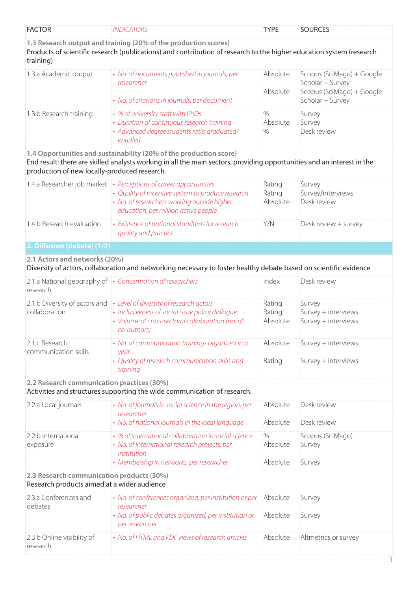| <b>FACTOR</b>                                                                            | <b>INDICATORS</b>                                                                                                                                                                                             | <b>TYPE</b>                       | <b>SOURCES</b>                                                                                 |
|------------------------------------------------------------------------------------------|---------------------------------------------------------------------------------------------------------------------------------------------------------------------------------------------------------------|-----------------------------------|------------------------------------------------------------------------------------------------|
| training)                                                                                | 1.3 Research output and training (20% of the production scores)<br>Products of scientific research (publications) and contribution of research to the higher education system (research                       |                                   |                                                                                                |
| 1.3.a Academic output                                                                    | • No. of documents published in journals, per<br>researcher<br>• No. of citations in journals, per document                                                                                                   | Absolute<br>Absolute              | Scopus (SciMago) + Google<br>Scholar + Survey<br>Scopus (SciMago) + Google<br>Scholar + Survey |
| 1.3.b Research training                                                                  | • % of university staff with PhDs<br>• Duration of continuous research training<br>· Advanced degree students ratio graduated/<br>enrolled                                                                    | $\frac{0}{0}$<br>Absolute<br>$\%$ | Survey<br>Survey<br>Desk review                                                                |
| production of new locally-produced research.                                             | 1.4 Opportunities and sustainability (20% of the production score)<br>End result: there are skilled analysts working in all the main sectors, providing opportunities and an interest in the                  |                                   |                                                                                                |
|                                                                                          | 1.4.a Researcher job market • Perceptions of career opportunities<br>• Quality of incentive system to produce research<br>• No. of researchers working outside higher<br>education, per million active people | Rating<br>Rating<br>Absolute      | Survey<br>Survey/interviews<br>Desk review                                                     |
| 1.4.b Research evaluation                                                                | • Existence of national standards for research<br>quality and practice                                                                                                                                        | Y/N                               | Desk review + survey                                                                           |
| 2. Diffusion (debate) (1/3)                                                              |                                                                                                                                                                                                               |                                   |                                                                                                |
| 2.1 Actors and networks (20%)                                                            | Diversity of actors, collaboration and networking necessary to foster healthy debate based on scientific evidence                                                                                             |                                   |                                                                                                |
| research                                                                                 | 2.1.a National geography of • Concentration of researchers                                                                                                                                                    | Index                             | Desk review                                                                                    |
| 2.1.b Diversity of actors and<br>collaboration                                           | • Level of diversity of research actors<br>• Inclusiveness of social issue policy dialogue<br>• Volume of cross-sectoral collaboration (no. of<br>co-authors)                                                 | Rating<br>Rating<br>Absolute      | Survey<br>Survey + interviews<br>Survey + interviews                                           |
| 2.1.c Research<br>communication skills                                                   | • No. of communication trainings organized in a<br>year<br>• Quality of research communication skills and<br>training                                                                                         | Absolute<br>Rating                | Survey + interviews<br>Survey + interviews                                                     |
| 2.2 Research communication practices (30%)                                               | Activities and structures supporting the wide communication of research.                                                                                                                                      |                                   |                                                                                                |
| 2.2.a Local journals                                                                     | • No. of journals in social science in the region, per<br>researcher<br>• No. of national journals in the local language                                                                                      | Absolute<br>Absolute              | Desk review<br>Desk review                                                                     |
| 2.2.b International<br>exposure                                                          | • % of international collaboration in social science<br>• No. of international research projects, per<br>institution<br>• Membership in networks, per researcher                                              | $\%$<br>Absolute<br>Absolute      | Scopus (SciMago)<br>Survey<br>Survey                                                           |
| 2.3 Research communication products (30%)<br>Research products aimed at a wider audience |                                                                                                                                                                                                               |                                   |                                                                                                |
| 2.3.a Conferences and<br>debates                                                         | • No. of conferences organized, per institution or per<br>researcher<br>• No. of public debates organized, per institution or<br>per researcher                                                               | Absolute<br>Absolute              | Survey<br>Survey                                                                               |
| 2.3.b Online visibility of<br>research                                                   | • No. of HTML and PDF views of research articles                                                                                                                                                              | Absolute                          | Altmetrics or survey                                                                           |